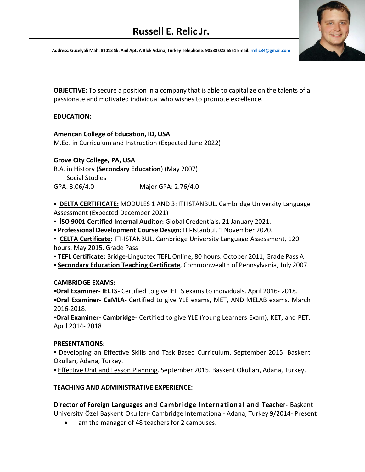# **Russell E. Relic Jr.**

Address: Guzelyali Mah. 81013 Sk. Anıl Apt. A Blok Adana, Turkey Telephone: 90538 023 6551 Email[: rrelic84@gmail.com](mailto:rrelic84@gmail.com)

**OBJECTIVE:** To secure a position in a company that is able to capitalize on the talents of a passionate and motivated individual who wishes to promote excellence.

### **EDUCATION:**

**American College of Education, ID, USA**

M.Ed. in Curriculum and Instruction (Expected June 2022)

# **Grove City College, PA, USA**

B.A. in History (**Secondary Education**) (May 2007) Social Studies

GPA: 3.06/4.0 Major GPA: 2.76/4.0

**▪ DELTA CERTIFICATE:** MODULES 1 AND 3: ITI ISTANBUL. Cambridge University Language Assessment (Expected December 2021)

**▪ İSO 9001 Certified Internal Auditor:** Global Credentials**.** 21 January 2021.

**▪ Professional Development Course Design:** ITI-Istanbul. 1 November 2020.

**▪ CELTA Certificate**: ITI-ISTANBUL. Cambridge University Language Assessment, 120 hours. May 2015, Grade Pass

**▪ TEFL Certificate:** Bridge-Linguatec TEFL Online, 80 hours. October 2011, Grade Pass A

**▪ Secondary Education Teaching Certificate**, Commonwealth of Pennsylvania, July 2007.

### **CAMBRIDGE EXAMS:**

**▪Oral Examiner- IELTS-** Certified to give IELTS exams to individuals. April 2016- 2018. **▪Oral Examiner- CaMLA-** Certified to give YLE exams, MET, AND MELAB exams. March 2016-2018.

**▪Oral Examiner- Cambridge**- Certified to give YLE (Young Learners Exam), KET, and PET. April 2014- 2018

### **PRESENTATIONS:**

**<u><b>• Developing an Effective Skills and Task Based Curriculum. September 2015. Baskent**</u> Okulları, Adana, Turkey.

**Effective Unit and Lesson Planning. September 2015. Baskent Okulları, Adana, Turkey.** 

# **TEACHING AND ADMINISTRATIVE EXPERIENCE:**

**Director of Foreign Languages and Cambridge International and Teacher-** Başkent University Özel Başkent Okulları- Cambridge International- Adana, Turkey 9/2014- Present

• I am the manager of 48 teachers for 2 campuses.

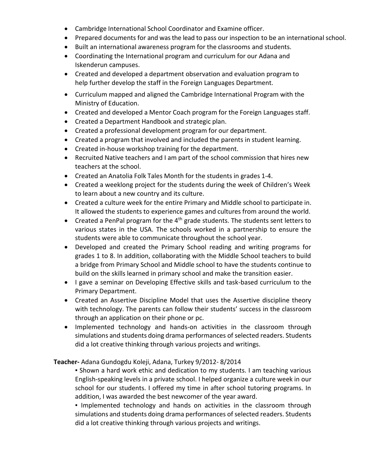- Cambridge International School Coordinator and Examine officer.
- Prepared documents for and was the lead to pass our inspection to be an international school.
- Built an international awareness program for the classrooms and students.
- Coordinating the International program and curriculum for our Adana and Iskenderun campuses.
- Created and developed a department observation and evaluation program to help further develop the staff in the Foreign Languages Department.
- Curriculum mapped and aligned the Cambridge International Program with the Ministry of Education.
- Created and developed a Mentor Coach program for the Foreign Languages staff.
- Created a Department Handbook and strategic plan.
- Created a professional development program for our department.
- Created a program that involved and included the parents in student learning.
- Created in-house workshop training for the department.
- Recruited Native teachers and I am part of the school commission that hires new teachers at the school.
- Created an Anatolia Folk Tales Month for the students in grades 1-4.
- Created a weeklong project for the students during the week of Children's Week to learn about a new country and its culture.
- Created a culture week for the entire Primary and Middle school to participate in. It allowed the students to experience games and cultures from around the world.
- Created a PenPal program for the  $4<sup>th</sup>$  grade students. The students sent letters to various states in the USA. The schools worked in a partnership to ensure the students were able to communicate throughout the school year.
- Developed and created the Primary School reading and writing programs for grades 1 to 8. In addition, collaborating with the Middle School teachers to build a bridge from Primary School and Middle school to have the students continue to build on the skills learned in primary school and make the transition easier.
- I gave a seminar on Developing Effective skills and task-based curriculum to the Primary Department.
- Created an Assertive Discipline Model that uses the Assertive discipline theory with technology. The parents can follow their students' success in the classroom through an application on their phone or pc.
- Implemented technology and hands-on activities in the classroom through simulations and students doing drama performances of selected readers. Students did a lot creative thinking through various projects and writings.

# **Teacher-** Adana Gundogdu Koleji, Adana, Turkey 9/2012- 8/2014

**▪** Shown a hard work ethic and dedication to my students. I am teaching various English-speaking levels in a private school. I helped organize a culture week in our school for our students. I offered my time in after school tutoring programs. In addition, I was awarded the best newcomer of the year award.

**▪** Implemented technology and hands on activities in the classroom through simulations and students doing drama performances of selected readers. Students did a lot creative thinking through various projects and writings.